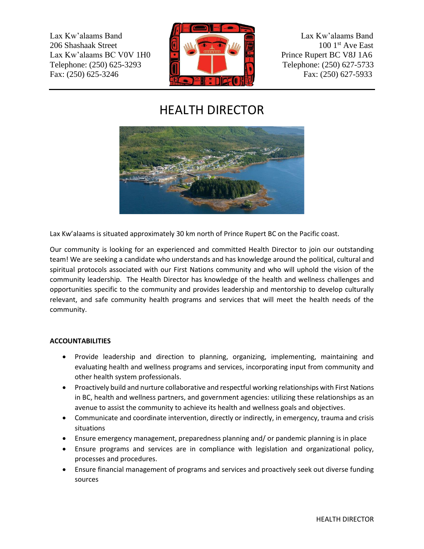Lax Kw'alaams Band Lax Kw'alaams Band 206 Shashaak Street 100 1st Ave East Lax Kw'alaams BC V0V 1H0 **Prince Rupert BC V8J 1A6** Telephone: (250) 625-3293 **Telephone: (250) 627-5733** Fax: (250) 625-3246 Fax: (250) 627-5933



# HEALTH DIRECTOR



Lax Kw'alaams is situated approximately 30 km north of Prince Rupert BC on the Pacific coast.

Our community is looking for an experienced and committed Health Director to join our outstanding team! We are seeking a candidate who understands and has knowledge around the political, cultural and spiritual protocols associated with our First Nations community and who will uphold the vision of the community leadership. The Health Director has knowledge of the health and wellness challenges and opportunities specific to the community and provides leadership and mentorship to develop culturally relevant, and safe community health programs and services that will meet the health needs of the community.

# **ACCOUNTABILITIES**

- Provide leadership and direction to planning, organizing, implementing, maintaining and evaluating health and wellness programs and services, incorporating input from community and other health system professionals.
- Proactively build and nurture collaborative and respectful working relationships with First Nations in BC, health and wellness partners, and government agencies: utilizing these relationships as an avenue to assist the community to achieve its health and wellness goals and objectives.
- Communicate and coordinate intervention, directly or indirectly, in emergency, trauma and crisis situations
- Ensure emergency management, preparedness planning and/ or pandemic planning is in place
- Ensure programs and services are in compliance with legislation and organizational policy, processes and procedures.
- Ensure financial management of programs and services and proactively seek out diverse funding sources